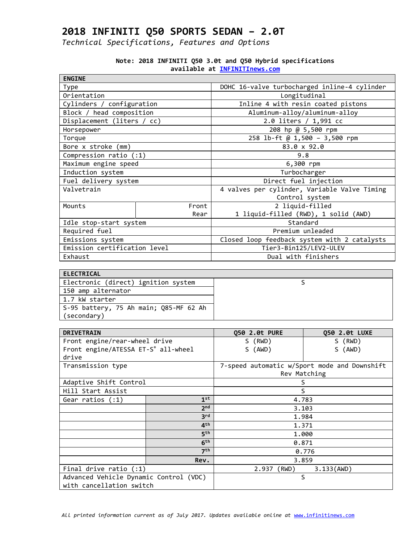| <b>ENGINE</b>                |       |                                              |  |
|------------------------------|-------|----------------------------------------------|--|
| Type                         |       | DOHC 16-valve turbocharged inline-4 cylinder |  |
| Orientation                  |       | Longitudinal                                 |  |
| Cylinders / configuration    |       | Inline 4 with resin coated pistons           |  |
| Block / head composition     |       | Aluminum-alloy/aluminum-alloy                |  |
| Displacement (liters / cc)   |       | 2.0 liters / 1,991 cc                        |  |
| Horsepower                   |       | 208 hp @ 5,500 rpm                           |  |
| Torque                       |       | 258 lb-ft @ 1,500 - 3,500 rpm                |  |
| Bore x stroke (mm)           |       | 83.0 x 92.0                                  |  |
| Compression ratio (:1)       |       | 9.8                                          |  |
| Maximum engine speed         |       | 6,300 rpm                                    |  |
| Induction system             |       | Turbocharger                                 |  |
| Fuel delivery system         |       | Direct fuel injection                        |  |
| Valvetrain                   |       | 4 valves per cylinder, Variable Valve Timing |  |
|                              |       | Control system                               |  |
| Mounts                       | Front | 2 liquid-filled                              |  |
|                              | Rear  | 1 liquid-filled (RWD), 1 solid (AWD)         |  |
| Idle stop-start system       |       | Standard                                     |  |
| Required fuel                |       | Premium unleaded                             |  |
| Emissions system             |       | Closed loop feedback system with 2 catalysts |  |
| Emission certification level |       | Tier3-Bin125/LEV2-ULEV                       |  |
| Exhaust                      |       | Dual with finishers                          |  |

|  |  |  |                               | Note: 2018 INFINITI Q50 3.0t and Q50 Hybrid specifications |
|--|--|--|-------------------------------|------------------------------------------------------------|
|  |  |  | available at INFINITInews.com |                                                            |

| ELECTRICAL                             |  |
|----------------------------------------|--|
| Electronic (direct) ignition system    |  |
| 150 amp alternator                     |  |
| 1.7 kW starter                         |  |
| S-95 battery, 75 Ah main; Q85-MF 62 Ah |  |
| (secondary)                            |  |

| <b>DRIVETRAIN</b>                      |                 | 050 2.0t PURE | 050 2.0t LUXE                                |  |
|----------------------------------------|-----------------|---------------|----------------------------------------------|--|
| Front engine/rear-wheel drive          |                 | S (RWD)       | S (RWD)                                      |  |
| Front engine/ATESSA ET-S® all-wheel    |                 | S (AWD)       | S (AWD)                                      |  |
| drive                                  |                 |               |                                              |  |
| Transmission type                      |                 |               | 7-speed automatic w/Sport mode and Downshift |  |
|                                        |                 |               | Rev Matching                                 |  |
| Adaptive Shift Control                 |                 |               | S                                            |  |
| Hill Start Assist                      |                 |               | S                                            |  |
| 1 <sup>st</sup><br>Gear ratios $(1)$   |                 | 4.783         |                                              |  |
|                                        | 2 <sub>nd</sub> |               | 3.103                                        |  |
|                                        | 3 <sup>rd</sup> |               | 1.984                                        |  |
|                                        | 4 <sup>th</sup> |               | 1.371                                        |  |
|                                        | 5 <sup>th</sup> |               | 1.000                                        |  |
|                                        | 6 <sup>th</sup> |               | 0.871                                        |  |
| 7 <sup>th</sup>                        |                 | 0.776         |                                              |  |
|                                        | Rev.            |               | 3.859                                        |  |
| Final drive ratio $(1)$                |                 | 2.937 (RWD)   | 3.133(AND)                                   |  |
| Advanced Vehicle Dynamic Control (VDC) |                 |               | S                                            |  |
| with cancellation switch               |                 |               |                                              |  |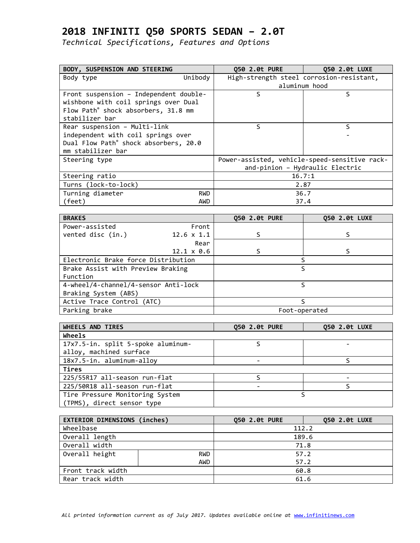| BODY, SUSPENSION AND STEERING          |            | <b>Q50 2.0t PURE</b> | Q50 2.0t LUXE                                 |
|----------------------------------------|------------|----------------------|-----------------------------------------------|
| Body type                              | Unibody    |                      | High-strength steel corrosion-resistant,      |
|                                        |            |                      | aluminum hood                                 |
| Front suspension - Independent double- |            | S                    | S                                             |
| wishbone with coil springs over Dual   |            |                      |                                               |
| Flow Path® shock absorbers, 31.8 mm    |            |                      |                                               |
| stabilizer bar                         |            |                      |                                               |
| Rear suspension - Multi-link           |            | S                    | S                                             |
| independent with coil springs over     |            |                      |                                               |
| Dual Flow Path® shock absorbers, 20.0  |            |                      |                                               |
| mm stabilizer bar                      |            |                      |                                               |
| Steering type                          |            |                      | Power-assisted, vehicle-speed-sensitive rack- |
|                                        |            |                      | and-pinion - Hydraulic Electric               |
| Steering ratio                         |            |                      | 16.7:1                                        |
| Turns (lock-to-lock)                   |            |                      | 2.87                                          |
| Turning diameter                       | <b>RWD</b> |                      | 36.7                                          |
| (feet)                                 | AWD        |                      | 37.4                                          |

| <b>BRAKES</b>                        |                   | <b>Q50 2.0t PURE</b> | Q50 2.0t LUXE |
|--------------------------------------|-------------------|----------------------|---------------|
| Power-assisted                       | Front             |                      |               |
| vented disc (in.)                    | $12.6 \times 1.1$ |                      |               |
|                                      | Rear              |                      |               |
|                                      | $12.1 \times 0.6$ |                      |               |
| Electronic Brake force Distribution  |                   |                      |               |
| Brake Assist with Preview Braking    |                   | S                    |               |
| Function                             |                   |                      |               |
| 4-wheel/4-channel/4-sensor Anti-lock |                   |                      | ς             |
| Braking System (ABS)                 |                   |                      |               |
| Active Trace Control (ATC)           |                   |                      |               |
| Parking brake                        |                   |                      | Foot-operated |

| WHEELS AND TIRES                   | 050 2.0t PURE | 050 2.0t LUXE |
|------------------------------------|---------------|---------------|
| Wheels                             |               |               |
| 17x7.5-in. split 5-spoke aluminum- |               |               |
| alloy, machined surface            |               |               |
| 18x7.5-in. aluminum-alloy          |               |               |
| Tires                              |               |               |
| 225/55R17 all-season run-flat      |               |               |
| 225/50R18 all-season run-flat      |               |               |
| Tire Pressure Monitoring System    |               |               |
| (TPMS), direct sensor type         |               |               |

| EXTERIOR DIMENSIONS (inches) |            | 050 2.0t PURE | 050 2.0t LUXE |
|------------------------------|------------|---------------|---------------|
| Wheelbase                    |            | 112.2         |               |
| Overall length               |            | 189.6         |               |
| Overall width                |            | 71.8          |               |
| Overall height<br><b>RWD</b> |            | 57.2          |               |
|                              | <b>AWD</b> | 57.2          |               |
| Front track width            |            | 60.8          |               |
| Rear track width             |            | 61.6          |               |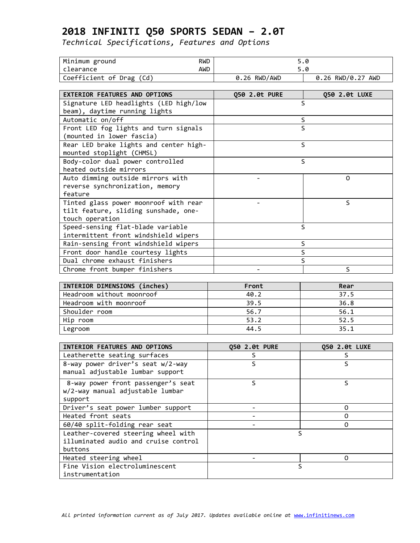| Minimum ground<br><b>RWD</b>           |                          | 5.0               |
|----------------------------------------|--------------------------|-------------------|
| clearance<br><b>AWD</b>                |                          | 5.0               |
| Coefficient of Drag (Cd)               | 0.26 RWD/AWD             | 0.26 RWD/0.27 AWD |
|                                        |                          |                   |
| EXTERIOR FEATURES AND OPTIONS          | Q50 2.0t PURE            | Q50 2.0t LUXE     |
| Signature LED headlights (LED high/low |                          | S                 |
| beam), daytime running lights          |                          |                   |
| Automatic on/off                       |                          | S                 |
| Front LED fog lights and turn signals  |                          | S                 |
| (mounted in lower fascia)              |                          |                   |
| Rear LED brake lights and center high- |                          | $\mathsf{S}$      |
| mounted stoplight (CHMSL)              |                          |                   |
| Body-color dual power controlled       |                          | $\mathsf{S}$      |
| heated outside mirrors                 |                          |                   |
| Auto dimming outside mirrors with      |                          | 0                 |
| reverse synchronization, memory        |                          |                   |
| feature                                |                          |                   |
| Tinted glass power moonroof with rear  |                          | S                 |
| tilt feature, sliding sunshade, one-   |                          |                   |
| touch operation                        |                          |                   |
| Speed-sensing flat-blade variable      |                          | S                 |
| intermittent front windshield wipers   |                          |                   |
| Rain-sensing front windshield wipers   |                          | S                 |
| Front door handle courtesy lights      |                          | S                 |
| Dual chrome exhaust finishers          |                          | S                 |
| Chrome front bumper finishers          |                          | S                 |
|                                        |                          |                   |
| INTERIOR DIMENSIONS (inches)           | Front                    | Rear              |
| Headroom without moonroof              | 40.2                     | 37.5              |
| Headroom with moonroof                 | 39.5                     | 36.8              |
| Shoulder room                          | 56.7                     | 56.1              |
| Hip room                               | 53.2                     | 52.5              |
| Legroom                                | 44.5                     | 35.1              |
|                                        |                          |                   |
| INTERIOR FEATURES AND OPTIONS          | Q50 2.0t PURE            | Q50 2.0t LUXE     |
| Leatherette seating surfaces           | S                        | S                 |
| 8-way power driver's seat w/2-way      | S                        | $\leq$            |
| manual adjustable lumbar support       |                          |                   |
| 8-way power front passenger's seat     | S                        | S                 |
| w/2-way manual adjustable lumbar       |                          |                   |
| support                                |                          |                   |
| Driver's seat power lumber support     | $\overline{\phantom{a}}$ | 0                 |
| Heated front seats                     | $\overline{\phantom{0}}$ | 0                 |
| 60/40 split-folding rear seat          |                          | 0                 |
| Leather-covered steering wheel with    | S                        |                   |
| illuminated audio and cruise control   |                          |                   |
| buttons                                |                          |                   |
| Heated steering wheel                  |                          | 0                 |
| Fine Vision electroluminescent         | S                        |                   |
| instrumentation                        |                          |                   |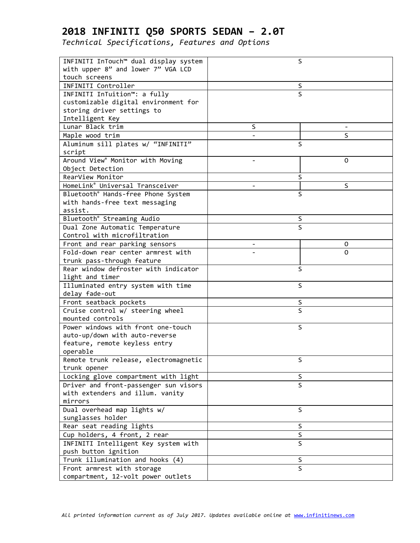| INFINITI InTouch™ dual display system       | S                             |
|---------------------------------------------|-------------------------------|
| with upper 8" and lower 7" VGA LCD          |                               |
| touch screens                               |                               |
| INFINITI Controller                         | S                             |
| INFINITI InTuition™: a fully                | $\mathsf S$                   |
| customizable digital environment for        |                               |
| storing driver settings to                  |                               |
| Intelligent Key                             |                               |
| Lunar Black trim                            | S                             |
| Maple wood trim                             | S                             |
| Aluminum sill plates w/ "INFINITI"          | S                             |
| script                                      |                               |
| Around View® Monitor with Moving            | 0<br>$\overline{\phantom{a}}$ |
| Object Detection                            |                               |
| RearView Monitor                            | S                             |
| HomeLink <sup>®</sup> Universal Transceiver | S                             |
| Bluetooth® Hands-free Phone System          | S                             |
| with hands-free text messaging              |                               |
| assist.                                     |                               |
| Bluetooth <sup>®</sup> Streaming Audio      | S                             |
| Dual Zone Automatic Temperature             | $\mathsf S$                   |
| Control with microfiltration                |                               |
| Front and rear parking sensors              | 0                             |
| Fold-down rear center armrest with          | 0                             |
| trunk pass-through feature                  |                               |
| Rear window defroster with indicator        | S                             |
| light and timer                             |                               |
| Illuminated entry system with time          | S                             |
| delay fade-out                              |                               |
| Front seatback pockets                      | S                             |
| Cruise control w/ steering wheel            | $\overline{\mathsf{S}}$       |
| mounted controls                            |                               |
| Power windows with front one-touch          | S                             |
| auto-up/down with auto-reverse              |                               |
| feature, remote keyless entry               |                               |
| operable                                    |                               |
| Remote trunk release, electromagnetic       | S                             |
| trunk opener                                |                               |
| Locking glove compartment with light        | S                             |
| Driver and front-passenger sun visors       | $\mathsf{S}$                  |
| with extenders and illum. vanity            |                               |
| mirrors                                     |                               |
| Dual overhead map lights w/                 | S                             |
| sunglasses holder                           |                               |
| Rear seat reading lights                    | S                             |
| Cup holders, 4 front, 2 rear                | $\overline{\mathsf{S}}$       |
| INFINITI Intelligent Key system with        | S                             |
| push button ignition                        |                               |
| Trunk illumination and hooks (4)            | S                             |
| Front armrest with storage                  | S                             |
| compartment, 12-volt power outlets          |                               |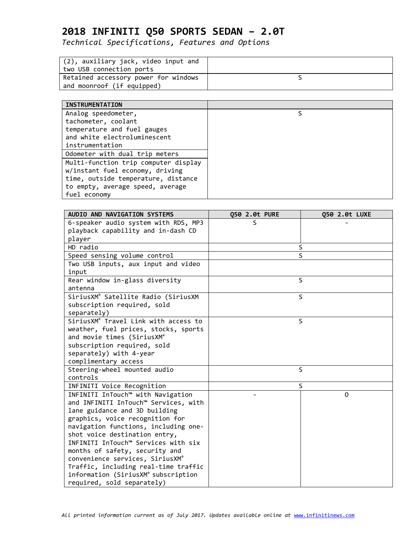*Technical Specifications, Features and Options*

| (2), auxiliary jack, video input and<br>two USB connection ports   |  |
|--------------------------------------------------------------------|--|
| Retained accessory power for windows<br>and moonroof (if equipped) |  |

### **INSTRUMENTATION**

| <b>INSIKUMENIAI LUN</b>              |  |
|--------------------------------------|--|
| Analog speedometer,                  |  |
| tachometer, coolant                  |  |
| temperature and fuel gauges          |  |
| and white electroluminescent         |  |
| instrumentation                      |  |
| Odometer with dual trip meters       |  |
| Multi-function trip computer display |  |
| w/instant fuel economy, driving      |  |
| time, outside temperature, distance  |  |
| to empty, average speed, average     |  |
| fuel economy                         |  |
|                                      |  |

| AUDIO AND NAVIGATION SYSTEMS         | Q50 2.0t PURE | Q50 2.0t LUXE |
|--------------------------------------|---------------|---------------|
| 6-speaker audio system with RDS, MP3 | S             |               |
| playback capability and in-dash CD   |               |               |
| player                               |               |               |
| HD radio                             | S             |               |
| Speed sensing volume control         | $\mathsf{S}$  |               |
| Two USB inputs, aux input and video  |               |               |
| input                                |               |               |
| Rear window in-glass diversity       | S             |               |
| antenna                              |               |               |
| SiriusXM® Satellite Radio (SiriusXM  | S             |               |
| subscription required, sold          |               |               |
| separately)                          |               |               |
| SiriusXM® Travel Link with access to | S             |               |
| weather, fuel prices, stocks, sports |               |               |
| and movie times (SiriusXM®           |               |               |
| subscription required, sold          |               |               |
| separately) with 4-year              |               |               |
| complimentary access                 |               |               |
| Steering-wheel mounted audio         | S             |               |
| controls                             |               |               |
| INFINITI Voice Recognition           | S             |               |
| INFINITI InTouch™ with Navigation    |               | 0             |
| and INFINITI InTouch™ Services, with |               |               |
| lane guidance and 3D building        |               |               |
| graphics, voice recognition for      |               |               |
| navigation functions, including one- |               |               |
| shot voice destination entry,        |               |               |
| INFINITI InTouch™ Services with six  |               |               |
| months of safety, security and       |               |               |
| convenience services, SiriusXM®      |               |               |
| Traffic, including real-time traffic |               |               |
| information (SiriusXM® subscription  |               |               |
| required, sold separately)           |               |               |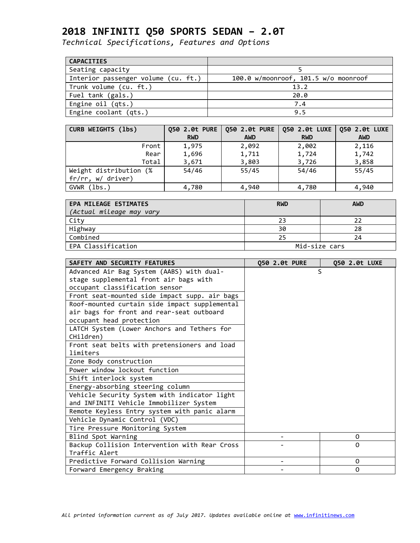| <b>CAPACITIES</b>                   |                                      |
|-------------------------------------|--------------------------------------|
| Seating capacity                    |                                      |
| Interior passenger volume (cu. ft.) | 100.0 w/moonroof, 101.5 w/o moonroof |
| Trunk volume (cu. ft.)              | 13.2                                 |
| Fuel tank (gals.)                   | 20.0                                 |
| Engine oil (qts.)                   | 7.4                                  |
| Engine coolant (qts.)               | 9.5                                  |

| CURB WEIGHTS (1bs)     |            | Q50 2.0t PURE   Q50 2.0t PURE   Q50 2.0t LUXE   Q50 2.0t LUXE |            |            |
|------------------------|------------|---------------------------------------------------------------|------------|------------|
|                        | <b>RWD</b> | <b>AWD</b>                                                    | <b>RWD</b> | <b>AWD</b> |
| Front                  | 1,975      | 2,092                                                         | 2,002      | 2,116      |
| Rear                   | 1,696      | 1,711                                                         | 1,724      | 1,742      |
| Total                  | 3,671      | 3,803                                                         | 3,726      | 3,858      |
| Weight distribution (% | 54/46      | 55/45                                                         | 54/46      | 55/45      |
| fr/rr, w/ driver)      |            |                                                               |            |            |
| GVWR (lbs.)            | 4,780      | 4,940                                                         | 4,780      | 4,940      |

| <b>EPA MILEAGE ESTIMATES</b><br>(Actual mileage may vary | <b>RWD</b>    | <b>AWD</b> |
|----------------------------------------------------------|---------------|------------|
| City                                                     | 23            |            |
| Highway                                                  | 30            | 28         |
| Combined                                                 |               | 24         |
| EPA Classification                                       | Mid-size cars |            |

| SAFETY AND SECURITY FEATURES                  | 050 2.0t PURE | 050 2.0t LUXE |
|-----------------------------------------------|---------------|---------------|
| Advanced Air Bag System (AABS) with dual-     |               | S             |
| stage supplemental front air bags with        |               |               |
| occupant classification sensor                |               |               |
| Front seat-mounted side impact supp. air bags |               |               |
| Roof-mounted curtain side impact supplemental |               |               |
| air bags for front and rear-seat outboard     |               |               |
| occupant head protection                      |               |               |
| LATCH System (Lower Anchors and Tethers for   |               |               |
| CHildren)                                     |               |               |
| Front seat belts with pretensioners and load  |               |               |
| limiters                                      |               |               |
| Zone Body construction                        |               |               |
| Power window lockout function                 |               |               |
| Shift interlock system                        |               |               |
| Energy-absorbing steering column              |               |               |
| Vehicle Security System with indicator light  |               |               |
| and INFINITI Vehicle Immobilizer System       |               |               |
| Remote Keyless Entry system with panic alarm  |               |               |
| Vehicle Dynamic Control (VDC)                 |               |               |
| Tire Pressure Monitoring System               |               |               |
| Blind Spot Warning                            |               | 0             |
| Backup Collision Intervention with Rear Cross |               | $\Omega$      |
| Traffic Alert                                 |               |               |
| Predictive Forward Collision Warning          |               | $\Omega$      |
| Forward Emergency Braking                     |               | 0             |